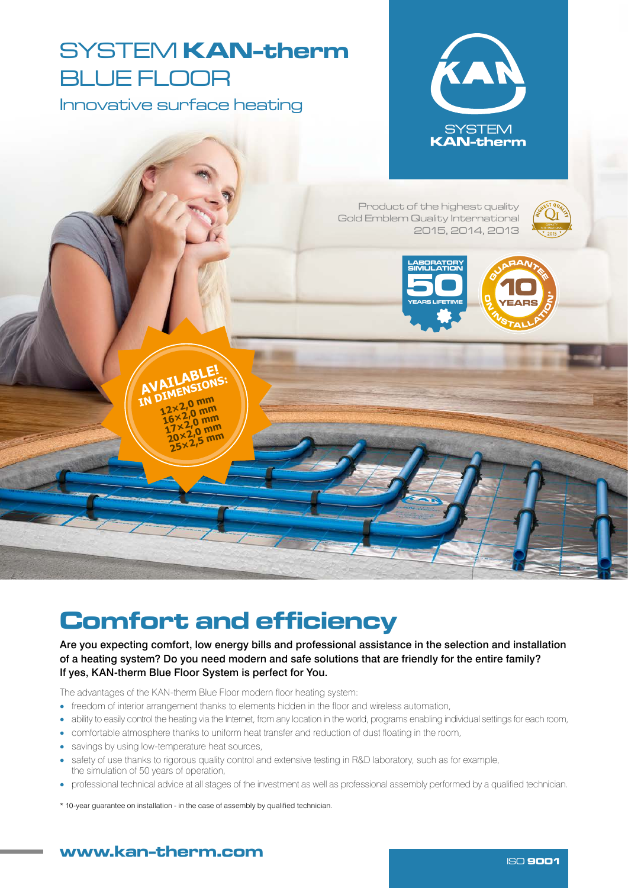# SYSTEM **KAN-therm** BLUE FLOOR

Innovative surface heating

**AVAILABLE! AVAILABIONS: 12×2,0 mm 16×2,0 mm 17×2,0 mm 20×2,0 mm 25×2,5 mm**



Product of the highest quality Gold Emblem Quality International 2015, 2014, 2013

50LAT EKSPLOATACJI

HO ISO 9001





## Comfort and efficiency

Are you expecting comfort, low energy bills and professional assistance in the selection and installation of a heating system? Do you need modern and safe solutions that are friendly for the entire family? If yes, KAN-therm Blue Floor System is perfect for You.

The advantages of the KAN-therm Blue Floor modern floor heating system:

- freedom of interior arrangement thanks to elements hidden in the floor and wireless automation,
- ability to easily control the heating via the Internet, from any location in the world, programs enabling individual settings for each room,
- comfortable atmosphere thanks to uniform heat transfer and reduction of dust floating in the room,
- savings by using low-temperature heat sources,
- safety of use thanks to rigorous quality control and extensive testing in R&D laboratory, such as for example, the simulation of 50 years of operation,
- professional technical advice at all stages of the investment as well as professional assembly performed by a qualified technician.
- \* 10-year guarantee on installation in the case of assembly by qualified technician.

### www.kan ISO <sup>9001</sup> -therm.com